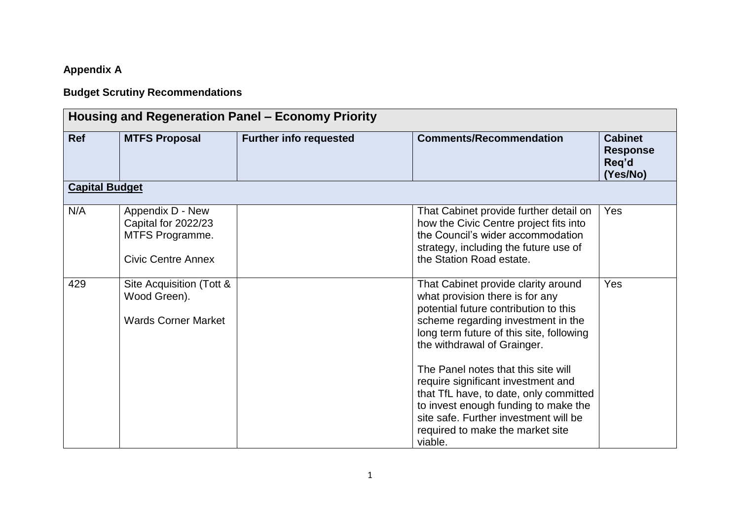## **Appendix A**

## **Budget Scrutiny Recommendations**

| Housing and Regeneration Panel – Economy Priority |                                                                                         |                               |                                                                                                                                                                                                                                                                                                                                                                                                                                                                                         |                                                        |  |  |
|---------------------------------------------------|-----------------------------------------------------------------------------------------|-------------------------------|-----------------------------------------------------------------------------------------------------------------------------------------------------------------------------------------------------------------------------------------------------------------------------------------------------------------------------------------------------------------------------------------------------------------------------------------------------------------------------------------|--------------------------------------------------------|--|--|
| Ref                                               | <b>MTFS Proposal</b>                                                                    | <b>Further info requested</b> | <b>Comments/Recommendation</b>                                                                                                                                                                                                                                                                                                                                                                                                                                                          | <b>Cabinet</b><br><b>Response</b><br>Req'd<br>(Yes/No) |  |  |
| <b>Capital Budget</b>                             |                                                                                         |                               |                                                                                                                                                                                                                                                                                                                                                                                                                                                                                         |                                                        |  |  |
| N/A                                               | Appendix D - New<br>Capital for 2022/23<br>MTFS Programme.<br><b>Civic Centre Annex</b> |                               | That Cabinet provide further detail on<br>how the Civic Centre project fits into<br>the Council's wider accommodation<br>strategy, including the future use of<br>the Station Road estate.                                                                                                                                                                                                                                                                                              | Yes                                                    |  |  |
| 429                                               | Site Acquisition (Tott &<br>Wood Green).<br><b>Wards Corner Market</b>                  |                               | That Cabinet provide clarity around<br>what provision there is for any<br>potential future contribution to this<br>scheme regarding investment in the<br>long term future of this site, following<br>the withdrawal of Grainger.<br>The Panel notes that this site will<br>require significant investment and<br>that TfL have, to date, only committed<br>to invest enough funding to make the<br>site safe. Further investment will be<br>required to make the market site<br>viable. | Yes                                                    |  |  |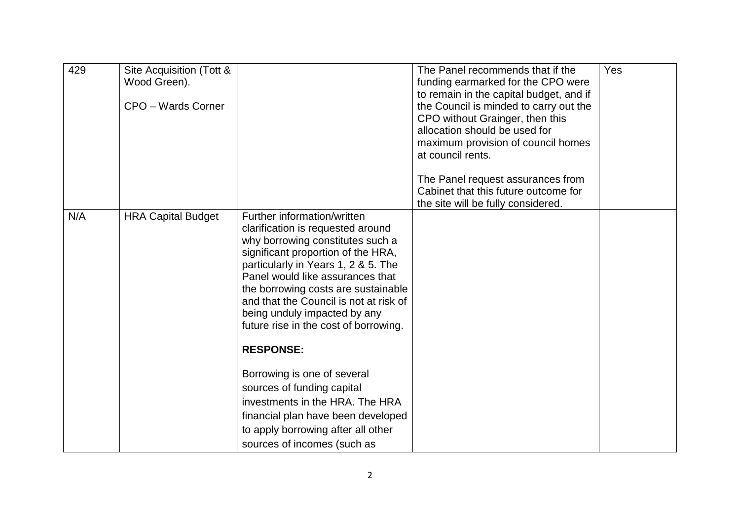| 429 | Site Acquisition (Tott &<br>Wood Green).<br>CPO - Wards Corner |                                                                                                                                                                                                                                                                                                                                                                                                     | The Panel recommends that if the<br>funding earmarked for the CPO were<br>to remain in the capital budget, and if<br>the Council is minded to carry out the<br>CPO without Grainger, then this<br>allocation should be used for<br>maximum provision of council homes<br>at council rents.<br>The Panel request assurances from<br>Cabinet that this future outcome for<br>the site will be fully considered. | Yes |
|-----|----------------------------------------------------------------|-----------------------------------------------------------------------------------------------------------------------------------------------------------------------------------------------------------------------------------------------------------------------------------------------------------------------------------------------------------------------------------------------------|---------------------------------------------------------------------------------------------------------------------------------------------------------------------------------------------------------------------------------------------------------------------------------------------------------------------------------------------------------------------------------------------------------------|-----|
| N/A | <b>HRA Capital Budget</b>                                      | Further information/written<br>clarification is requested around<br>why borrowing constitutes such a<br>significant proportion of the HRA,<br>particularly in Years 1, 2 & 5. The<br>Panel would like assurances that<br>the borrowing costs are sustainable<br>and that the Council is not at risk of<br>being unduly impacted by any<br>future rise in the cost of borrowing.<br><b>RESPONSE:</b> |                                                                                                                                                                                                                                                                                                                                                                                                               |     |
|     |                                                                | Borrowing is one of several<br>sources of funding capital<br>investments in the HRA. The HRA<br>financial plan have been developed<br>to apply borrowing after all other<br>sources of incomes (such as                                                                                                                                                                                             |                                                                                                                                                                                                                                                                                                                                                                                                               |     |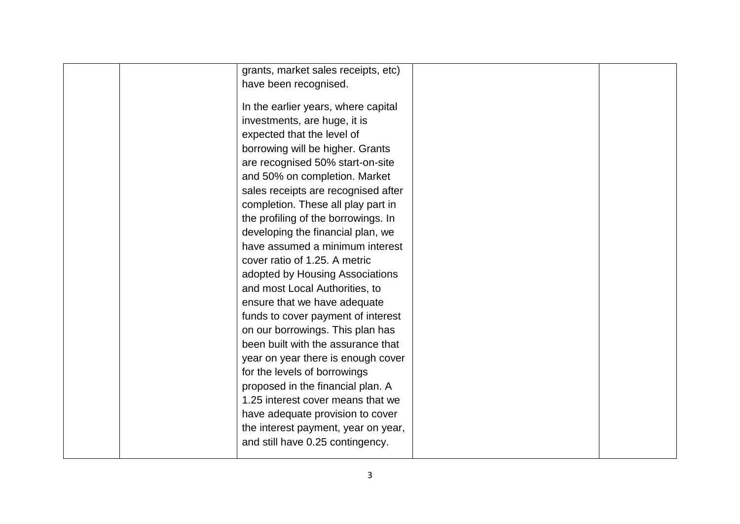| grants, market sales receipts, etc) |  |
|-------------------------------------|--|
| have been recognised.               |  |
|                                     |  |
| In the earlier years, where capital |  |
| investments, are huge, it is        |  |
| expected that the level of          |  |
| borrowing will be higher. Grants    |  |
| are recognised 50% start-on-site    |  |
| and 50% on completion. Market       |  |
| sales receipts are recognised after |  |
| completion. These all play part in  |  |
| the profiling of the borrowings. In |  |
| developing the financial plan, we   |  |
| have assumed a minimum interest     |  |
| cover ratio of 1.25. A metric       |  |
| adopted by Housing Associations     |  |
| and most Local Authorities, to      |  |
| ensure that we have adequate        |  |
| funds to cover payment of interest  |  |
| on our borrowings. This plan has    |  |
| been built with the assurance that  |  |
| year on year there is enough cover  |  |
| for the levels of borrowings        |  |
| proposed in the financial plan. A   |  |
| 1.25 interest cover means that we   |  |
| have adequate provision to cover    |  |
| the interest payment, year on year, |  |
| and still have 0.25 contingency.    |  |
|                                     |  |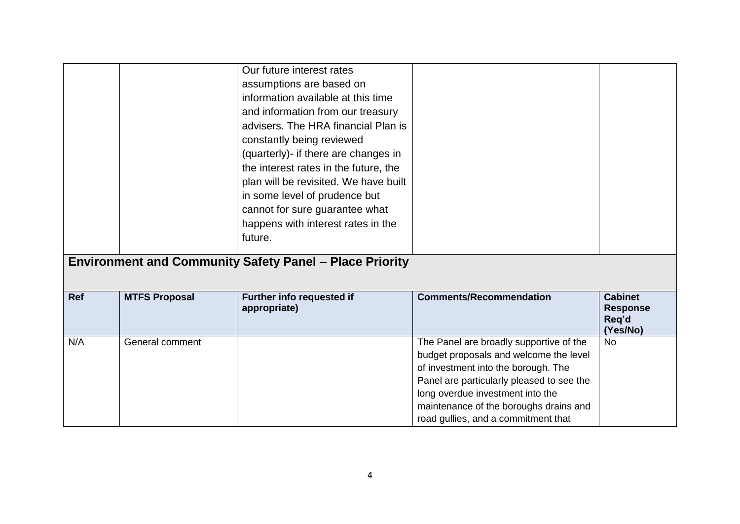|            |                      | Our future interest rates<br>assumptions are based on<br>information available at this time<br>and information from our treasury<br>advisers. The HRA financial Plan is<br>constantly being reviewed<br>(quarterly)- if there are changes in<br>the interest rates in the future, the<br>plan will be revisited. We have built<br>in some level of prudence but<br>cannot for sure guarantee what<br>happens with interest rates in the<br>future. |                                                                                                                                                                                                                                                                                            |                                                        |
|------------|----------------------|----------------------------------------------------------------------------------------------------------------------------------------------------------------------------------------------------------------------------------------------------------------------------------------------------------------------------------------------------------------------------------------------------------------------------------------------------|--------------------------------------------------------------------------------------------------------------------------------------------------------------------------------------------------------------------------------------------------------------------------------------------|--------------------------------------------------------|
|            |                      | <b>Environment and Community Safety Panel - Place Priority</b>                                                                                                                                                                                                                                                                                                                                                                                     |                                                                                                                                                                                                                                                                                            |                                                        |
| <b>Ref</b> | <b>MTFS Proposal</b> | <b>Further info requested if</b><br>appropriate)                                                                                                                                                                                                                                                                                                                                                                                                   | <b>Comments/Recommendation</b>                                                                                                                                                                                                                                                             | <b>Cabinet</b><br><b>Response</b><br>Req'd<br>(Yes/No) |
| N/A        | General comment      |                                                                                                                                                                                                                                                                                                                                                                                                                                                    | The Panel are broadly supportive of the<br>budget proposals and welcome the level<br>of investment into the borough. The<br>Panel are particularly pleased to see the<br>long overdue investment into the<br>maintenance of the boroughs drains and<br>road gullies, and a commitment that | <b>No</b>                                              |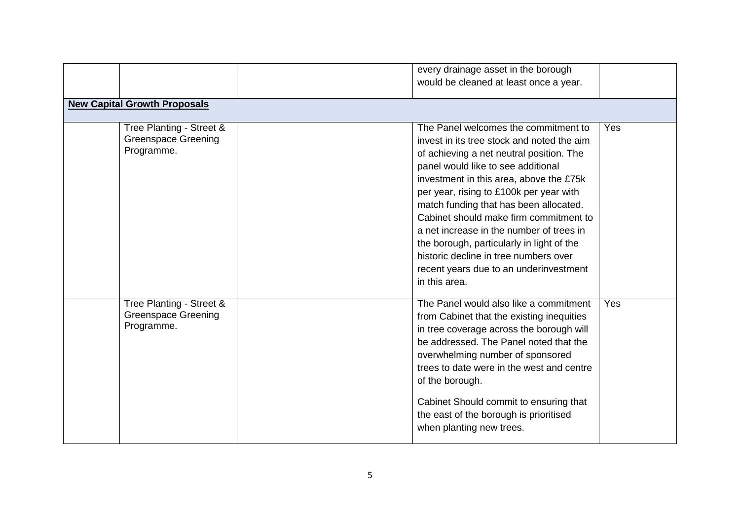|                                                                      | every drainage asset in the borough<br>would be cleaned at least once a year.                                                                                                                                                                                                                                                                                                                                                                                                                                                               |     |
|----------------------------------------------------------------------|---------------------------------------------------------------------------------------------------------------------------------------------------------------------------------------------------------------------------------------------------------------------------------------------------------------------------------------------------------------------------------------------------------------------------------------------------------------------------------------------------------------------------------------------|-----|
|                                                                      |                                                                                                                                                                                                                                                                                                                                                                                                                                                                                                                                             |     |
| <b>New Capital Growth Proposals</b>                                  |                                                                                                                                                                                                                                                                                                                                                                                                                                                                                                                                             |     |
| Tree Planting - Street &<br><b>Greenspace Greening</b><br>Programme. | The Panel welcomes the commitment to<br>invest in its tree stock and noted the aim<br>of achieving a net neutral position. The<br>panel would like to see additional<br>investment in this area, above the £75k<br>per year, rising to £100k per year with<br>match funding that has been allocated.<br>Cabinet should make firm commitment to<br>a net increase in the number of trees in<br>the borough, particularly in light of the<br>historic decline in tree numbers over<br>recent years due to an underinvestment<br>in this area. | Yes |
| Tree Planting - Street &<br><b>Greenspace Greening</b><br>Programme. | The Panel would also like a commitment<br>from Cabinet that the existing inequities<br>in tree coverage across the borough will<br>be addressed. The Panel noted that the<br>overwhelming number of sponsored<br>trees to date were in the west and centre<br>of the borough.<br>Cabinet Should commit to ensuring that<br>the east of the borough is prioritised<br>when planting new trees.                                                                                                                                               | Yes |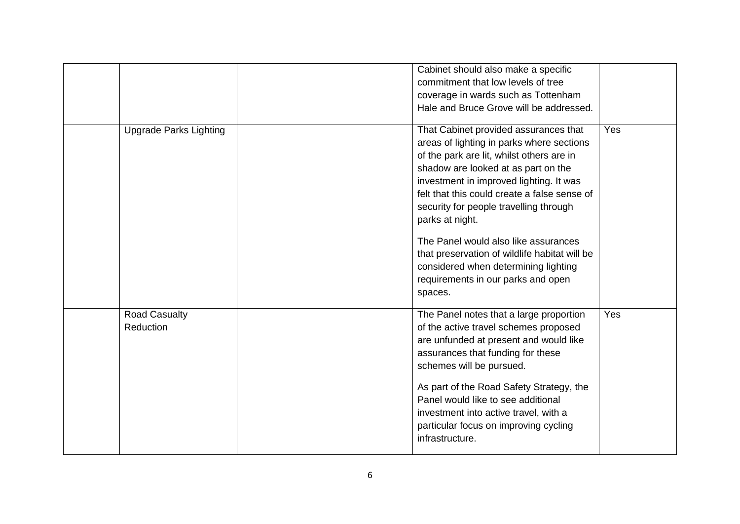|                                   | Cabinet should also make a specific<br>commitment that low levels of tree<br>coverage in wards such as Tottenham<br>Hale and Bruce Grove will be addressed.                                                                                                                                                                                                                                                                                                                                                      |     |
|-----------------------------------|------------------------------------------------------------------------------------------------------------------------------------------------------------------------------------------------------------------------------------------------------------------------------------------------------------------------------------------------------------------------------------------------------------------------------------------------------------------------------------------------------------------|-----|
| <b>Upgrade Parks Lighting</b>     | That Cabinet provided assurances that<br>areas of lighting in parks where sections<br>of the park are lit, whilst others are in<br>shadow are looked at as part on the<br>investment in improved lighting. It was<br>felt that this could create a false sense of<br>security for people travelling through<br>parks at night.<br>The Panel would also like assurances<br>that preservation of wildlife habitat will be<br>considered when determining lighting<br>requirements in our parks and open<br>spaces. | Yes |
| <b>Road Casualty</b><br>Reduction | The Panel notes that a large proportion<br>of the active travel schemes proposed<br>are unfunded at present and would like<br>assurances that funding for these<br>schemes will be pursued.<br>As part of the Road Safety Strategy, the<br>Panel would like to see additional<br>investment into active travel, with a<br>particular focus on improving cycling<br>infrastructure.                                                                                                                               | Yes |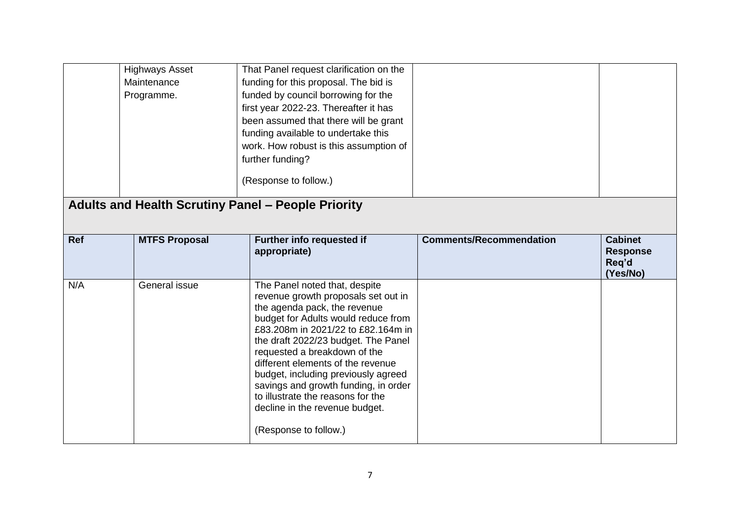|            | <b>Highways Asset</b><br>Maintenance<br>Programme.        | That Panel request clarification on the<br>funding for this proposal. The bid is<br>funded by council borrowing for the<br>first year 2022-23. Thereafter it has<br>been assumed that there will be grant<br>funding available to undertake this<br>work. How robust is this assumption of |                                |                                            |
|------------|-----------------------------------------------------------|--------------------------------------------------------------------------------------------------------------------------------------------------------------------------------------------------------------------------------------------------------------------------------------------|--------------------------------|--------------------------------------------|
|            |                                                           | further funding?<br>(Response to follow.)                                                                                                                                                                                                                                                  |                                |                                            |
|            | <b>Adults and Health Scrutiny Panel - People Priority</b> |                                                                                                                                                                                                                                                                                            |                                |                                            |
| <b>Ref</b> | <b>MTFS Proposal</b>                                      | Further info requested if<br>appropriate)                                                                                                                                                                                                                                                  | <b>Comments/Recommendation</b> | <b>Cabinet</b><br><b>Response</b><br>Req'd |
|            |                                                           |                                                                                                                                                                                                                                                                                            |                                | (Yes/No)                                   |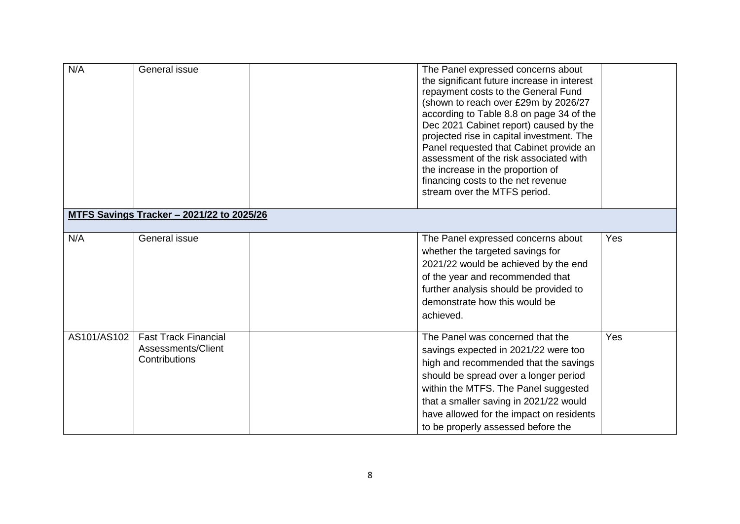| N/A         | General issue                                                      | The Panel expressed concerns about<br>the significant future increase in interest<br>repayment costs to the General Fund<br>(shown to reach over £29m by 2026/27<br>according to Table 8.8 on page 34 of the<br>Dec 2021 Cabinet report) caused by the<br>projected rise in capital investment. The<br>Panel requested that Cabinet provide an<br>assessment of the risk associated with<br>the increase in the proportion of<br>financing costs to the net revenue<br>stream over the MTFS period. |     |
|-------------|--------------------------------------------------------------------|-----------------------------------------------------------------------------------------------------------------------------------------------------------------------------------------------------------------------------------------------------------------------------------------------------------------------------------------------------------------------------------------------------------------------------------------------------------------------------------------------------|-----|
|             | <u><b>MTFS Savings Tracker - 2021/22 to 2025/26</b></u>            |                                                                                                                                                                                                                                                                                                                                                                                                                                                                                                     |     |
|             |                                                                    |                                                                                                                                                                                                                                                                                                                                                                                                                                                                                                     |     |
| N/A         | General issue                                                      | The Panel expressed concerns about<br>whether the targeted savings for<br>2021/22 would be achieved by the end<br>of the year and recommended that<br>further analysis should be provided to<br>demonstrate how this would be<br>achieved.                                                                                                                                                                                                                                                          | Yes |
| AS101/AS102 | <b>Fast Track Financial</b><br>Assessments/Client<br>Contributions | The Panel was concerned that the<br>savings expected in 2021/22 were too<br>high and recommended that the savings<br>should be spread over a longer period<br>within the MTFS. The Panel suggested<br>that a smaller saving in 2021/22 would<br>have allowed for the impact on residents<br>to be properly assessed before the                                                                                                                                                                      | Yes |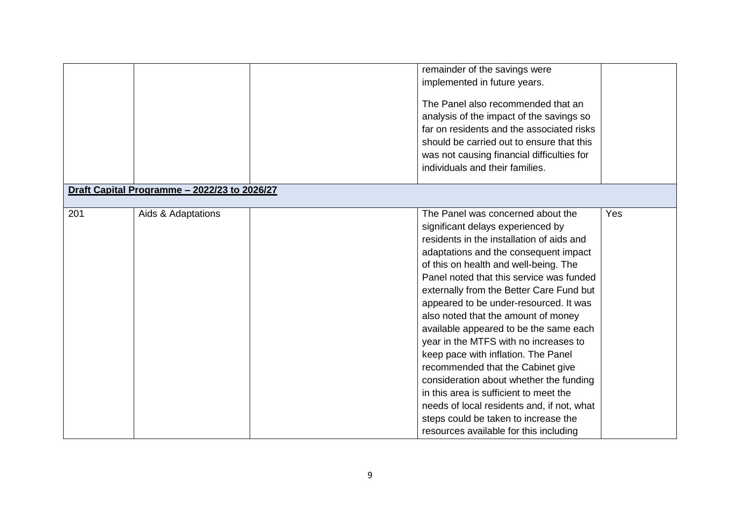|     |                                              | remainder of the savings were              |     |
|-----|----------------------------------------------|--------------------------------------------|-----|
|     |                                              | implemented in future years.               |     |
|     |                                              |                                            |     |
|     |                                              | The Panel also recommended that an         |     |
|     |                                              | analysis of the impact of the savings so   |     |
|     |                                              | far on residents and the associated risks  |     |
|     |                                              | should be carried out to ensure that this  |     |
|     |                                              | was not causing financial difficulties for |     |
|     |                                              | individuals and their families.            |     |
|     |                                              |                                            |     |
|     | Draft Capital Programme - 2022/23 to 2026/27 |                                            |     |
|     |                                              |                                            |     |
| 201 | Aids & Adaptations                           | The Panel was concerned about the          | Yes |
|     |                                              | significant delays experienced by          |     |
|     |                                              | residents in the installation of aids and  |     |
|     |                                              | adaptations and the consequent impact      |     |
|     |                                              | of this on health and well-being. The      |     |
|     |                                              | Panel noted that this service was funded   |     |
|     |                                              | externally from the Better Care Fund but   |     |
|     |                                              | appeared to be under-resourced. It was     |     |
|     |                                              | also noted that the amount of money        |     |
|     |                                              | available appeared to be the same each     |     |
|     |                                              | year in the MTFS with no increases to      |     |
|     |                                              | keep pace with inflation. The Panel        |     |
|     |                                              | recommended that the Cabinet give          |     |
|     |                                              | consideration about whether the funding    |     |
|     |                                              | in this area is sufficient to meet the     |     |
|     |                                              | needs of local residents and, if not, what |     |
|     |                                              | steps could be taken to increase the       |     |
|     |                                              | resources available for this including     |     |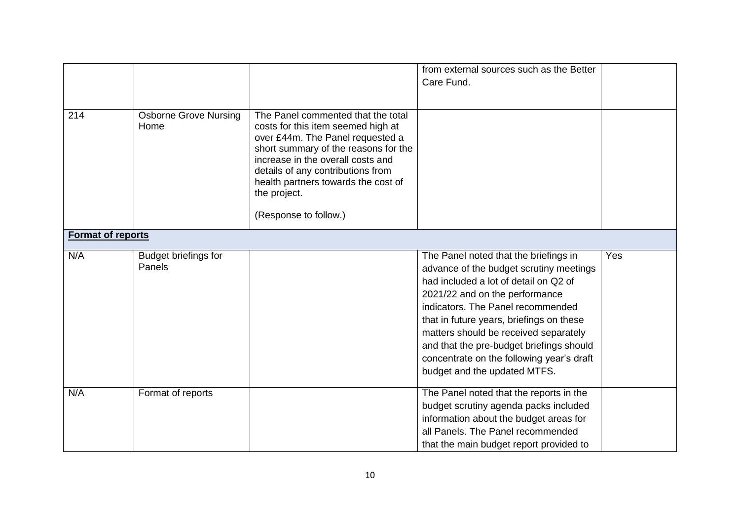|                          |                                       |                                                                                                                                                                                                                                                                                                                | from external sources such as the Better<br>Care Fund.                                                                                                                                                                                                                                                                                                                                                         |     |
|--------------------------|---------------------------------------|----------------------------------------------------------------------------------------------------------------------------------------------------------------------------------------------------------------------------------------------------------------------------------------------------------------|----------------------------------------------------------------------------------------------------------------------------------------------------------------------------------------------------------------------------------------------------------------------------------------------------------------------------------------------------------------------------------------------------------------|-----|
| 214                      | <b>Osborne Grove Nursing</b><br>Home  | The Panel commented that the total<br>costs for this item seemed high at<br>over £44m. The Panel requested a<br>short summary of the reasons for the<br>increase in the overall costs and<br>details of any contributions from<br>health partners towards the cost of<br>the project.<br>(Response to follow.) |                                                                                                                                                                                                                                                                                                                                                                                                                |     |
| <b>Format of reports</b> |                                       |                                                                                                                                                                                                                                                                                                                |                                                                                                                                                                                                                                                                                                                                                                                                                |     |
| N/A                      | <b>Budget briefings for</b><br>Panels |                                                                                                                                                                                                                                                                                                                | The Panel noted that the briefings in<br>advance of the budget scrutiny meetings<br>had included a lot of detail on Q2 of<br>2021/22 and on the performance<br>indicators. The Panel recommended<br>that in future years, briefings on these<br>matters should be received separately<br>and that the pre-budget briefings should<br>concentrate on the following year's draft<br>budget and the updated MTFS. | Yes |
| N/A                      | Format of reports                     |                                                                                                                                                                                                                                                                                                                | The Panel noted that the reports in the<br>budget scrutiny agenda packs included<br>information about the budget areas for<br>all Panels. The Panel recommended<br>that the main budget report provided to                                                                                                                                                                                                     |     |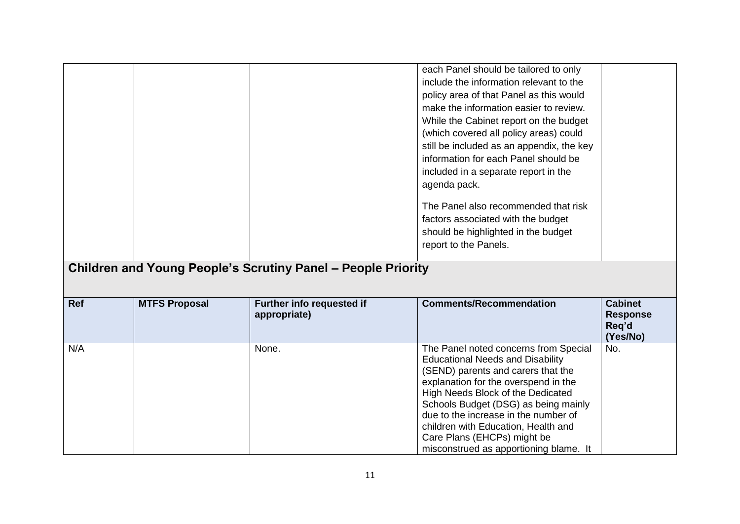**(Yes/No)**

 $\overline{N_{0}}$ .

Educational Needs and Disability (SEND) parents and carers that the explanation for the overspend in the High Needs Block of the Dedicated Schools Budget (DSG) as being mainly due to the increase in the number of children with Education, Health and Care Plans (EHCPs) might be

misconstrued as apportioning blame. It

N/A None. None. The Panel noted concerns from Special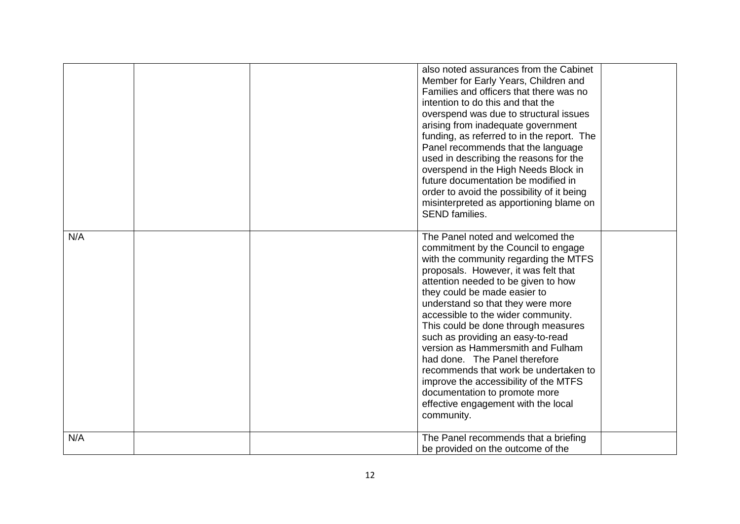|     |  | also noted assurances from the Cabinet<br>Member for Early Years, Children and<br>Families and officers that there was no<br>intention to do this and that the<br>overspend was due to structural issues<br>arising from inadequate government<br>funding, as referred to in the report. The<br>Panel recommends that the language<br>used in describing the reasons for the<br>overspend in the High Needs Block in<br>future documentation be modified in<br>order to avoid the possibility of it being<br>misinterpreted as apportioning blame on<br><b>SEND families.</b>                                                        |  |
|-----|--|--------------------------------------------------------------------------------------------------------------------------------------------------------------------------------------------------------------------------------------------------------------------------------------------------------------------------------------------------------------------------------------------------------------------------------------------------------------------------------------------------------------------------------------------------------------------------------------------------------------------------------------|--|
| N/A |  | The Panel noted and welcomed the<br>commitment by the Council to engage<br>with the community regarding the MTFS<br>proposals. However, it was felt that<br>attention needed to be given to how<br>they could be made easier to<br>understand so that they were more<br>accessible to the wider community.<br>This could be done through measures<br>such as providing an easy-to-read<br>version as Hammersmith and Fulham<br>had done. The Panel therefore<br>recommends that work be undertaken to<br>improve the accessibility of the MTFS<br>documentation to promote more<br>effective engagement with the local<br>community. |  |
| N/A |  | The Panel recommends that a briefing<br>be provided on the outcome of the                                                                                                                                                                                                                                                                                                                                                                                                                                                                                                                                                            |  |